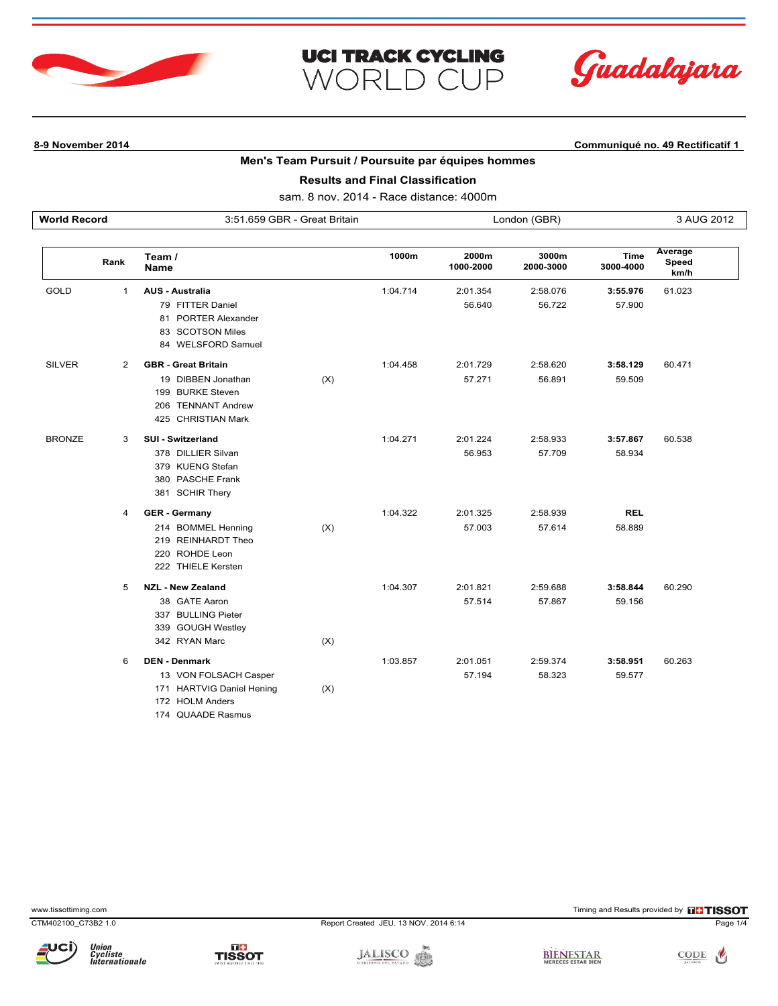



# **Men's Team Pursuit / Poursuite par équipes hommes**

**UCI TRACK CYCLING** 

WORLD CUP

**Results and Final Classification**

| <b>World Record</b> |                | 3:51.659 GBR - Great Britain                                                       |     |          | London (GBR)       |                    |                          | 3 AUG 2012               |  |
|---------------------|----------------|------------------------------------------------------------------------------------|-----|----------|--------------------|--------------------|--------------------------|--------------------------|--|
|                     | Rank           | Team /<br><b>Name</b>                                                              |     | 1000m    | 2000m<br>1000-2000 | 3000m<br>2000-3000 | <b>Time</b><br>3000-4000 | Average<br>Speed<br>km/h |  |
| <b>GOLD</b>         | 1              | <b>AUS - Australia</b>                                                             |     | 1:04.714 | 2:01.354           | 2:58.076           | 3:55.976                 | 61.023                   |  |
|                     |                | 79 FITTER Daniel<br>81 PORTER Alexander<br>83 SCOTSON Miles<br>84 WELSFORD Samuel  |     |          | 56.640             | 56.722             | 57.900                   |                          |  |
| <b>SILVER</b>       | $\overline{2}$ | <b>GBR - Great Britain</b>                                                         |     | 1:04.458 | 2:01.729           | 2:58.620           | 3:58.129                 | 60.471                   |  |
|                     |                | 19 DIBBEN Jonathan<br>199 BURKE Steven<br>206 TENNANT Andrew<br>425 CHRISTIAN Mark | (X) |          | 57.271             | 56.891             | 59.509                   |                          |  |
| <b>BRONZE</b>       | 3              | <b>SUI - Switzerland</b>                                                           |     | 1:04.271 | 2:01.224           | 2:58.933           | 3:57.867                 | 60.538                   |  |
|                     |                | 378 DILLIER Silvan<br>379 KUENG Stefan<br>380 PASCHE Frank<br>381 SCHIR Thery      |     |          | 56.953             | 57.709             | 58.934                   |                          |  |
|                     | 4              | <b>GER</b> - Germany                                                               |     | 1:04.322 | 2:01.325           | 2:58.939           | <b>REL</b>               |                          |  |
|                     |                | 214 BOMMEL Henning<br>219 REINHARDT Theo<br>220 ROHDE Leon<br>222 THIELE Kersten   | (X) |          | 57.003             | 57.614             | 58.889                   |                          |  |
|                     | 5              | <b>NZL - New Zealand</b>                                                           |     | 1:04.307 | 2:01.821           | 2:59.688           | 3:58.844                 | 60.290                   |  |
|                     |                | 38 GATE Aaron<br>337 BULLING Pieter<br>339 GOUGH Westley                           |     |          | 57.514             | 57.867             | 59.156                   |                          |  |
|                     |                | 342 RYAN Marc                                                                      | (X) |          |                    |                    |                          |                          |  |
|                     | 6              | <b>DEN - Denmark</b>                                                               |     | 1:03.857 | 2:01.051           | 2:59.374           | 3:58.951                 | 60.263                   |  |
|                     |                | 13 VON FOLSACH Casper<br>171 HARTVIG Daniel Hening<br>172 HOLM Anders              | (X) |          | 57.194             | 58.323             | 59.577                   |                          |  |

174 QUAADE Rasmus

www.tissottiming.com **EXECUTES CONTEXT CONTEXT** Timing and Results provided by **EXECUTES CONTEXT AND RESULTS SO TIMING** 









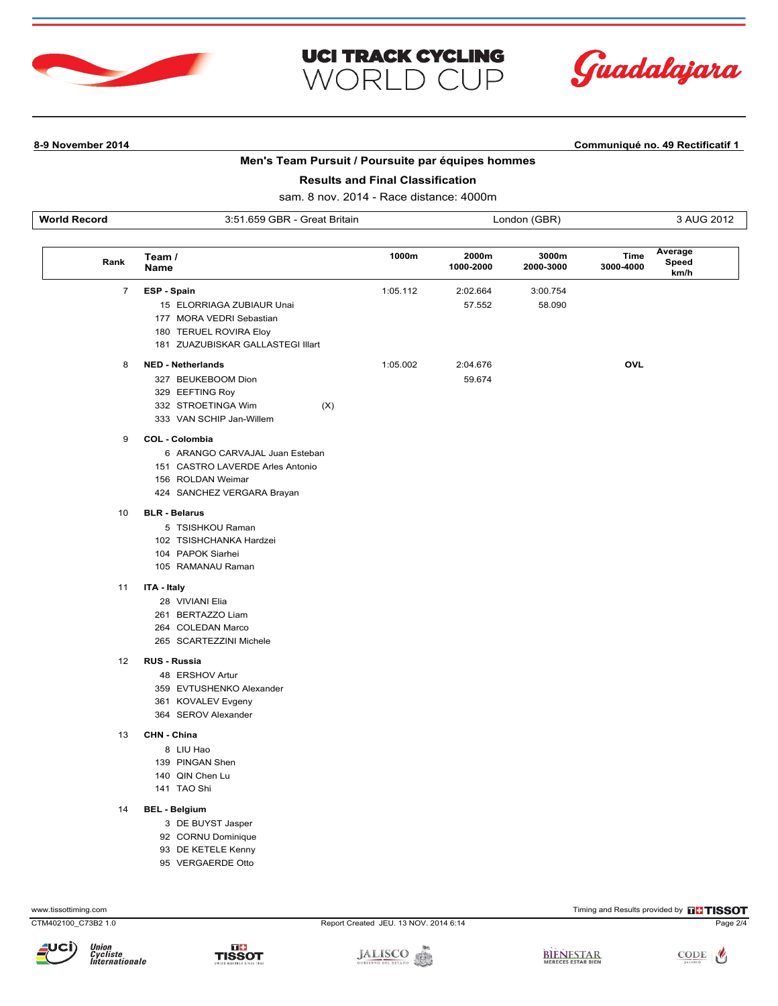



# **Men's Team Pursuit / Poursuite par équipes hommes**

**UCI TRACK CYCLING** 

WORLD CUP

## **Results and Final Classification**

sam. 8 nov. 2014 - Race distance: 4000m

| <b>Wo</b><br>והי<br>GBR<br>つ・ム<br>Britain<br>nna<br>ורד<br>.<br>$\sim$ $\sim$ |  |
|-------------------------------------------------------------------------------|--|
|-------------------------------------------------------------------------------|--|

| Rank | Team /<br>Name                    | 1000m    | 2000m<br>1000-2000 | 3000m<br>2000-3000 | Average<br>Time<br>Speed<br>3000-4000<br>km/h |
|------|-----------------------------------|----------|--------------------|--------------------|-----------------------------------------------|
| 7    | ESP - Spain                       | 1:05.112 | 2:02.664           | 3:00.754           |                                               |
|      | 15 ELORRIAGA ZUBIAUR Unai         |          | 57.552             | 58.090             |                                               |
|      | 177 MORA VEDRI Sebastian          |          |                    |                    |                                               |
|      | 180 TERUEL ROVIRA Eloy            |          |                    |                    |                                               |
|      | 181 ZUAZUBISKAR GALLASTEGI Illart |          |                    |                    |                                               |
| 8    | <b>NED - Netherlands</b>          | 1:05.002 | 2:04.676           |                    | OVL                                           |
|      | 327 BEUKEBOOM Dion                |          | 59.674             |                    |                                               |
|      | 329 EEFTING Roy                   |          |                    |                    |                                               |
|      | (X)<br>332 STROETINGA Wim         |          |                    |                    |                                               |
|      | 333 VAN SCHIP Jan-Willem          |          |                    |                    |                                               |
| 9    | COL - Colombia                    |          |                    |                    |                                               |
|      | 6 ARANGO CARVAJAL Juan Esteban    |          |                    |                    |                                               |
|      | 151 CASTRO LAVERDE Arles Antonio  |          |                    |                    |                                               |
|      | 156 ROLDAN Weimar                 |          |                    |                    |                                               |
|      | 424 SANCHEZ VERGARA Brayan        |          |                    |                    |                                               |
| 10   | <b>BLR - Belarus</b>              |          |                    |                    |                                               |
|      | 5 TSISHKOU Raman                  |          |                    |                    |                                               |
|      | 102 TSISHCHANKA Hardzei           |          |                    |                    |                                               |
|      | 104 PAPOK Siarhei                 |          |                    |                    |                                               |
|      | 105 RAMANAU Raman                 |          |                    |                    |                                               |
| 11   | ITA - Italy                       |          |                    |                    |                                               |
|      | 28 VIVIANI Elia                   |          |                    |                    |                                               |
|      | 261 BERTAZZO Liam                 |          |                    |                    |                                               |
|      | 264 COLEDAN Marco                 |          |                    |                    |                                               |
|      | 265 SCARTEZZINI Michele           |          |                    |                    |                                               |
| 12   | RUS - Russia                      |          |                    |                    |                                               |
|      | 48 ERSHOV Artur                   |          |                    |                    |                                               |
|      | 359 EVTUSHENKO Alexander          |          |                    |                    |                                               |
|      | 361 KOVALEV Evgeny                |          |                    |                    |                                               |
|      | 364 SEROV Alexander               |          |                    |                    |                                               |
| 13   | CHN - China                       |          |                    |                    |                                               |
|      | 8 LIU Hao                         |          |                    |                    |                                               |
|      | 139 PINGAN Shen                   |          |                    |                    |                                               |
|      | 140 QIN Chen Lu                   |          |                    |                    |                                               |
|      | 141 TAO Shi                       |          |                    |                    |                                               |
| 14   | <b>BEL - Belgium</b>              |          |                    |                    |                                               |
|      | 3 DE BUYST Jasper                 |          |                    |                    |                                               |
|      | 92 CORNU Dominique                |          |                    |                    |                                               |
|      | 93 DE KETELE Kenny                |          |                    |                    |                                               |
|      | 95 VERGAERDE Otto                 |          |                    |                    |                                               |





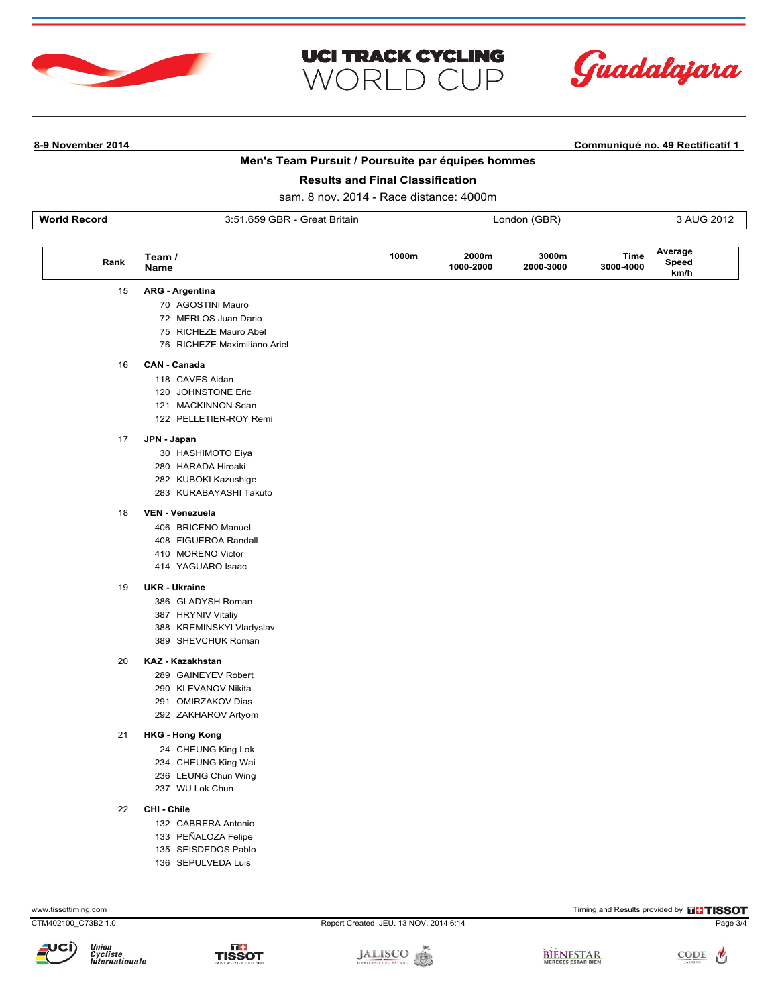



## **Men's Team Pursuit / Poursuite par équipes hommes**

**UCI TRACK CYCLING** 

**WORLD CUP** 

## **Results and Final Classification**

sam. 8 nov. 2014 - Race distance: 4000m

| Work<br>-------<br>Record | $ -$<br><u>_~~~+</u><br>Britain<br>つ・へ<br><b>Khu</b><br>566<br>JI Cd<br>ີ | (GBR<br>naor | ົດດາ<br>≅ ZU L |
|---------------------------|---------------------------------------------------------------------------|--------------|----------------|
|                           |                                                                           |              |                |

| Rank | Team /<br><b>Name</b>  | 1000m | 2000m<br>1000-2000 | 3000m<br>2000-3000 | Time<br>3000-4000 | Average<br>Speed<br>km/h |
|------|------------------------|-------|--------------------|--------------------|-------------------|--------------------------|
| 15   | <b>ARG - Argentina</b> |       |                    |                    |                   |                          |
|      | 70 AGOSTINI Mauro      |       |                    |                    |                   |                          |
|      | 72 MERLOS Juan Dario   |       |                    |                    |                   |                          |

- 75 RICHEZE Mauro Abel
- 76 RICHEZE Maximiliano Ariel

### 16 **CAN - Canada**

- 118 CAVES Aidan
- 120 JOHNSTONE Eric
- 121 MACKINNON Sean
- 122 PELLETIER-ROY Remi

#### 17 **JPN - Japan**

- 30 HASHIMOTO Eiya
- 280 HARADA Hiroaki
- 282 KUBOKI Kazushige
- 283 KURABAYASHI Takuto

### 18 **VEN - Venezuela**

- 406 BRICENO Manuel
- 408 FIGUEROA Randall
- 410 MORENO Victor
- 414 YAGUARO Isaac

### 19 **UKR - Ukraine**

- 386 GLADYSH Roman
- 387 HRYNIV Vitaliy
- 388 KREMINSKYI Vladyslav
- 389 SHEVCHUK Roman

### $20$ **KAZ - Kazakhstan**

- 289 GAINEYEV Robert
- 290 KLEVANOV Nikita
- 291 OMIRZAKOV Dias
- 292 ZAKHAROV Artyom

#### 21 **HKG - Hong Kong**

- 24 CHEUNG King Lok
- 234 CHEUNG King Wai
- 236 LEUNG Chun Wing
- 237 WU Lok Chun
- 22 **CHI Chile**
	- 132 CABRERA Antonio
	- 133 PEÑALOZA Felipe
	- 135 SEISDEDOS Pablo
	- 136 SEPULVEDA Luis

пŧ

**TISSOT** 

CTM402100\_C73B2 1.0 Report Created JEU. 13 NOV. 2014 6:14 Page 3/4